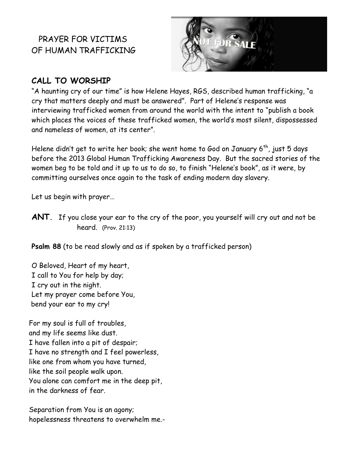# PRAYER FOR VICTIMS OF HUMAN TRAFFICKING



# **CALL TO WORSHIP**

"A haunting cry of our time" is how Helene Hayes, RGS, described human trafficking, "a cry that matters deeply and must be answered". Part of Helene's response was interviewing trafficked women from around the world with the intent to "publish a book which places the voices of these trafficked women, the world's most silent, dispossessed and nameless of women, at its center".

Helene didn't get to write her book; she went home to God on January 6<sup>th</sup>, just 5 days before the 2013 Global Human Trafficking Awareness Day. But the sacred stories of the women beg to be told and it up to us to do so, to finish "Helene's book", as it were, by committing ourselves once again to the task of ending modern day slavery.

Let us begin with prayer…

**ANT.** If you close your ear to the cry of the poor, you yourself will cry out and not be heard. (Prov. 21:13)

**Psalm 88** (to be read slowly and as if spoken by a trafficked person)

O Beloved, Heart of my heart, I call to You for help by day; I cry out in the night. Let my prayer come before You, bend your ear to my cry!

For my soul is full of troubles, and my life seems like dust. I have fallen into a pit of despair; I have no strength and I feel powerless, like one from whom you have turned, like the soil people walk upon. You alone can comfort me in the deep pit, in the darkness of fear.

Separation from You is an agony; hopelessness threatens to overwhelm me.-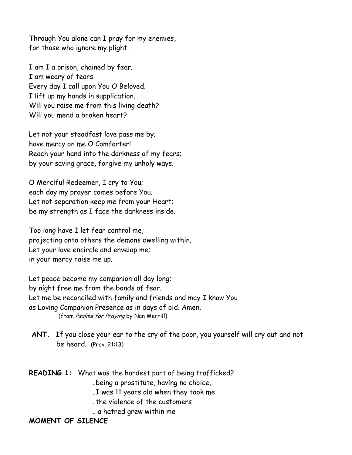Through You alone can I pray for my enemies, for those who ignore my plight.

I am I a prison, chained by fear; I am weary of tears. Every day I call upon You O Beloved; I lift up my hands in supplication. Will you raise me from this living death? Will you mend a broken heart?

Let not your steadfast love pass me by; have mercy on me O Comforter! Reach your hand into the darkness of my fears; by your saving grace, forgive my unholy ways.

O Merciful Redeemer, I cry to You; each day my prayer comes before You. Let not separation keep me from your Heart; be my strength as I face the darkness inside.

Too long have I let fear control me, projecting onto others the demons dwelling within. Let your love encircle and envelop me; in your mercy raise me up.

Let peace become my companion all day long; by night free me from the bonds of fear. Let me be reconciled with family and friends and may I know You as Loving Companion Presence as in days of old. Amen. (from Psalms for Praying by Nan Merrill)

**ANT.** If you close your ear to the cry of the poor, you yourself will cry out and not be heard. (Prov. 21:13)

| <b>READING 1:</b> What was the hardest part of being trafficked? |
|------------------------------------------------------------------|
| being a prostitute, having no choice,                            |
| I was 11 years old when they took me                             |
| the violence of the customers                                    |
| a hatred grew within me                                          |

**MOMENT OF SILENCE**